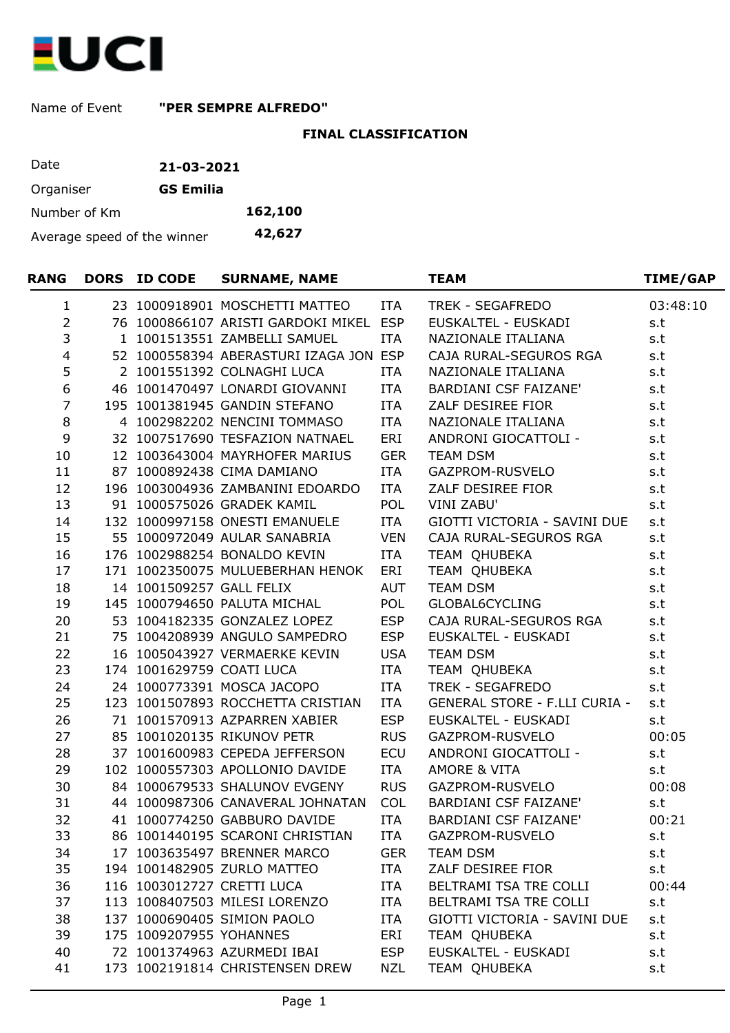

Name of Event **"PER SEMPRE ALFREDO"**

## **FINAL CLASSIFICATION**

| Date                        | 21-03-2021       |         |
|-----------------------------|------------------|---------|
| Organiser                   | <b>GS Emilia</b> |         |
| Number of Km                |                  | 162,100 |
| Average speed of the winner |                  | 42,627  |

| <b>RANG</b>             | <b>DORS ID CODE</b>       | <b>SURNAME, NAME</b>                   |            | <b>TEAM</b>                          | <b>TIME/GAP</b> |
|-------------------------|---------------------------|----------------------------------------|------------|--------------------------------------|-----------------|
| $\mathbf{1}$            |                           | 23 1000918901 MOSCHETTI MATTEO         | ITA        | TREK - SEGAFREDO                     | 03:48:10        |
| $\overline{2}$          |                           | 76 1000866107 ARISTI GARDOKI MIKEL ESP |            | EUSKALTEL - EUSKADI                  | s.t             |
| 3                       |                           | 1 1001513551 ZAMBELLI SAMUEL           | ITA        | NAZIONALE ITALIANA                   | s.t             |
| $\overline{\mathbf{4}}$ |                           | 52 1000558394 ABERASTURI IZAGA JON ESP |            | CAJA RURAL-SEGUROS RGA               | s.t             |
| 5                       |                           | 2 1001551392 COLNAGHI LUCA             | ITA        | NAZIONALE ITALIANA                   | s.t             |
| 6                       |                           | 46 1001470497 LONARDI GIOVANNI         | <b>ITA</b> | BARDIANI CSF FAIZANE'                | s.t             |
| $\overline{7}$          |                           | 195 1001381945 GANDIN STEFANO          | <b>ITA</b> | ZALF DESIREE FIOR                    | s.t             |
| $\,8\,$                 |                           | 4 1002982202 NENCINI TOMMASO           | <b>ITA</b> | NAZIONALE ITALIANA                   | s.t             |
| 9                       |                           | 32 1007517690 TESFAZION NATNAEL        | ERI        | ANDRONI GIOCATTOLI -                 | s.t             |
| 10                      |                           | 12 1003643004 MAYRHOFER MARIUS         | <b>GER</b> | <b>TEAM DSM</b>                      | s.t             |
| 11                      |                           | 87 1000892438 CIMA DAMIANO             | ITA        | GAZPROM-RUSVELO                      | s.t             |
| 12                      |                           | 196 1003004936 ZAMBANINI EDOARDO       | ITA        | ZALF DESIREE FIOR                    | s.t             |
| 13                      |                           | 91 1000575026 GRADEK KAMIL             | POL        | <b>VINI ZABU'</b>                    | s.t             |
| 14                      |                           | 132 1000997158 ONESTI EMANUELE         | <b>ITA</b> | GIOTTI VICTORIA - SAVINI DUE         | s.t             |
| 15                      |                           | 55 1000972049 AULAR SANABRIA           | <b>VEN</b> | CAJA RURAL-SEGUROS RGA               | s.t             |
| 16                      |                           | 176 1002988254 BONALDO KEVIN           | ITA        | TEAM OHUBEKA                         | s.t             |
| 17                      |                           | 171 1002350075 MULUEBERHAN HENOK       | ERI        | TEAM QHUBEKA                         | s.t             |
| 18                      | 14 1001509257 GALL FELIX  |                                        | <b>AUT</b> | <b>TEAM DSM</b>                      | s.t             |
| 19                      |                           | 145 1000794650 PALUTA MICHAL           | POL        | GLOBAL6CYCLING                       | s.t             |
| 20                      |                           | 53 1004182335 GONZALEZ LOPEZ           | <b>ESP</b> | CAJA RURAL-SEGUROS RGA               | s.t             |
| 21                      |                           | 75 1004208939 ANGULO SAMPEDRO          | <b>ESP</b> | EUSKALTEL - EUSKADI                  | s.t             |
| 22                      |                           | 16 1005043927 VERMAERKE KEVIN          | <b>USA</b> | <b>TEAM DSM</b>                      | s.t             |
| 23                      | 174 1001629759 COATI LUCA |                                        | <b>ITA</b> | TEAM QHUBEKA                         | s.t             |
| 24                      |                           | 24 1000773391 MOSCA JACOPO             | <b>ITA</b> | TREK - SEGAFREDO                     | s.t             |
| 25                      |                           | 123 1001507893 ROCCHETTA CRISTIAN      | ITA        | <b>GENERAL STORE - F.LLI CURIA -</b> | s.t             |
| 26                      |                           | 71 1001570913 AZPARREN XABIER          | <b>ESP</b> | EUSKALTEL - EUSKADI                  | s.t             |
| 27                      |                           | 85 1001020135 RIKUNOV PETR             | <b>RUS</b> | GAZPROM-RUSVELO                      | 00:05           |
| 28                      |                           | 37 1001600983 CEPEDA JEFFERSON         | <b>ECU</b> | ANDRONI GIOCATTOLI -                 | s.t             |
| 29                      |                           | 102 1000557303 APOLLONIO DAVIDE        | <b>ITA</b> | <b>AMORE &amp; VITA</b>              | s.t             |
| 30                      |                           | 84 1000679533 SHALUNOV EVGENY          | <b>RUS</b> | GAZPROM-RUSVELO                      | 00:08           |
| 31                      |                           | 44 1000987306 CANAVERAL JOHNATAN       | <b>COL</b> | BARDIANI CSF FAIZANE'                | s.t             |
| 32                      |                           | 41 1000774250 GABBURO DAVIDE           | <b>ITA</b> | BARDIANI CSF FAIZANE'                | 00:21           |
| 33                      |                           | 86 1001440195 SCARONI CHRISTIAN        | <b>ITA</b> | GAZPROM-RUSVELO                      | s.t             |
| 34                      |                           | 17 1003635497 BRENNER MARCO            | <b>GER</b> | <b>TEAM DSM</b>                      | s.t             |
| 35                      |                           | 194 1001482905 ZURLO MATTEO            | ITA        | ZALF DESIREE FIOR                    | s.t             |
| 36                      |                           | 116 1003012727 CRETTI LUCA             | <b>ITA</b> | BELTRAMI TSA TRE COLLI               | 00:44           |
| 37                      |                           | 113 1008407503 MILESI LORENZO          | ITA        | BELTRAMI TSA TRE COLLI               | s.t             |
| 38                      |                           | 137 1000690405 SIMION PAOLO            | ITA        | GIOTTI VICTORIA - SAVINI DUE         | s.t             |
| 39                      | 175 1009207955 YOHANNES   |                                        | ERI        | TEAM QHUBEKA                         | s.t             |
| 40                      |                           | 72 1001374963 AZURMEDI IBAI            | <b>ESP</b> | EUSKALTEL - EUSKADI                  | s.t             |
| 41                      |                           | 173 1002191814 CHRISTENSEN DREW        | <b>NZL</b> | TEAM QHUBEKA                         | s.t             |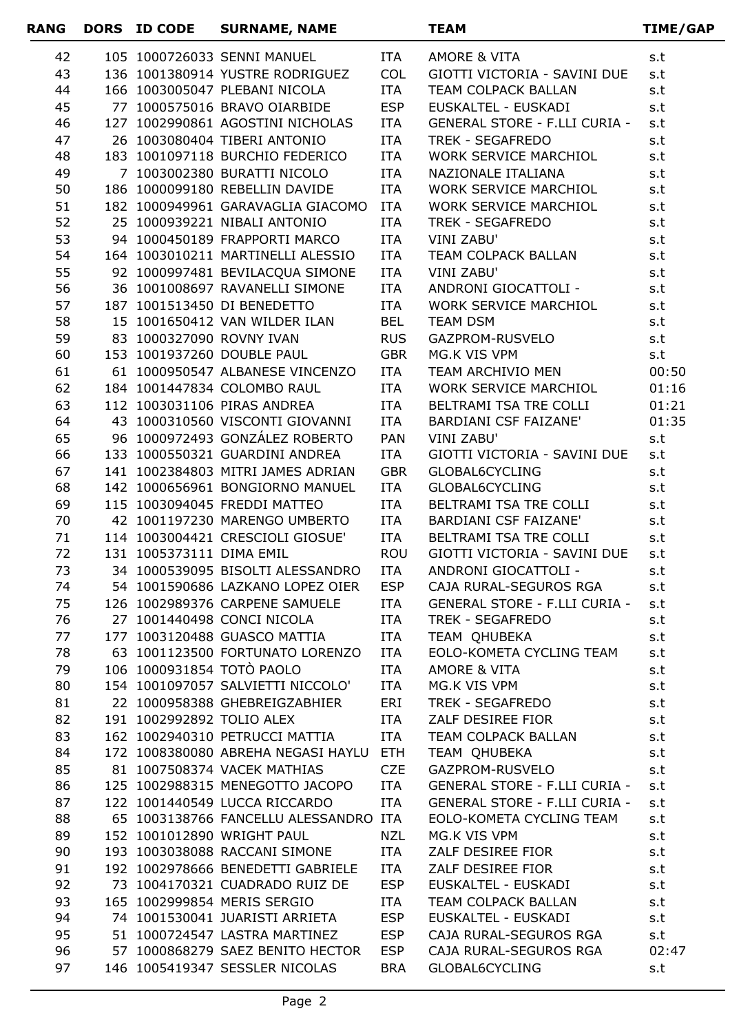| <b>RANG</b> | DORS ID CODE             | <b>SURNAME, NAME</b>                                              |            | <b>TEAM</b>                                                      | TIME/GAP       |
|-------------|--------------------------|-------------------------------------------------------------------|------------|------------------------------------------------------------------|----------------|
| 42          |                          | 105 1000726033 SENNI MANUEL                                       | ITA        | AMORE & VITA                                                     | s.t            |
| 43          |                          | 136 1001380914 YUSTRE RODRIGUEZ                                   | <b>COL</b> | GIOTTI VICTORIA - SAVINI DUE                                     | s.t            |
| 44          |                          | 166 1003005047 PLEBANI NICOLA                                     | <b>ITA</b> | TEAM COLPACK BALLAN                                              | s.t            |
| 45          |                          | 77 1000575016 BRAVO OIARBIDE                                      | <b>ESP</b> | EUSKALTEL - EUSKADI                                              | s.t            |
| 46          |                          | 127 1002990861 AGOSTINI NICHOLAS                                  | ITA        | GENERAL STORE - F.LLI CURIA -                                    | s.t            |
| 47          |                          | 26 1003080404 TIBERI ANTONIO                                      | <b>ITA</b> | TREK - SEGAFREDO                                                 | s.t            |
| 48          |                          | 183 1001097118 BURCHIO FEDERICO                                   | ITA        | WORK SERVICE MARCHIOL                                            | s.t            |
| 49          |                          | 7 1003002380 BURATTI NICOLO                                       | <b>ITA</b> | NAZIONALE ITALIANA                                               | s.t            |
| 50          |                          | 186 1000099180 REBELLIN DAVIDE                                    | <b>ITA</b> | WORK SERVICE MARCHIOL                                            | s.t            |
| 51          |                          | 182 1000949961 GARAVAGLIA GIACOMO                                 | ITA        | WORK SERVICE MARCHIOL                                            | s.t            |
| 52          |                          | 25 1000939221 NIBALI ANTONIO                                      | ITA        | TREK - SEGAFREDO                                                 | s.t            |
| 53          |                          | 94 1000450189 FRAPPORTI MARCO                                     | <b>ITA</b> | <b>VINI ZABU'</b>                                                | s.t            |
| 54          |                          | 164 1003010211 MARTINELLI ALESSIO                                 | <b>ITA</b> | TEAM COLPACK BALLAN                                              | s.t            |
| 55          |                          | 92 1000997481 BEVILACQUA SIMONE                                   | ITA        | <b>VINI ZABU'</b>                                                | s.t            |
| 56          |                          | 36 1001008697 RAVANELLI SIMONE                                    | <b>ITA</b> | ANDRONI GIOCATTOLI -                                             | s.t            |
| 57          |                          | 187 1001513450 DI BENEDETTO                                       | ITA        | WORK SERVICE MARCHIOL                                            | s.t            |
| 58          |                          | 15 1001650412 VAN WILDER ILAN                                     | <b>BEL</b> | <b>TEAM DSM</b>                                                  | s.t            |
| 59          |                          | 83 1000327090 ROVNY IVAN                                          | <b>RUS</b> | GAZPROM-RUSVELO                                                  | s.t            |
| 60          |                          | 153 1001937260 DOUBLE PAUL                                        | <b>GBR</b> | MG.K VIS VPM                                                     | s.t            |
| 61<br>62    |                          | 61 1000950547 ALBANESE VINCENZO<br>184 1001447834 COLOMBO RAUL    | ITA<br>ITA | TEAM ARCHIVIO MEN<br>WORK SERVICE MARCHIOL                       | 00:50<br>01:16 |
| 63          |                          | 112 1003031106 PIRAS ANDREA                                       | <b>ITA</b> | BELTRAMI TSA TRE COLLI                                           | 01:21          |
| 64          |                          | 43 1000310560 VISCONTI GIOVANNI                                   | <b>ITA</b> | BARDIANI CSF FAIZANE'                                            | 01:35          |
| 65          |                          | 96 1000972493 GONZÁLEZ ROBERTO                                    | PAN        | <b>VINI ZABU'</b>                                                | s.t            |
| 66          |                          | 133 1000550321 GUARDINI ANDREA                                    | <b>ITA</b> | GIOTTI VICTORIA - SAVINI DUE                                     | s.t            |
| 67          |                          | 141 1002384803 MITRI JAMES ADRIAN                                 | <b>GBR</b> | GLOBAL6CYCLING                                                   | s.t            |
| 68          |                          | 142 1000656961 BONGIORNO MANUEL                                   | ITA        | GLOBAL6CYCLING                                                   | s.t            |
| 69          |                          | 115 1003094045 FREDDI MATTEO                                      | <b>ITA</b> | BELTRAMI TSA TRE COLLI                                           | s.t            |
| 70          |                          | 42 1001197230 MARENGO UMBERTO                                     | ITA        | BARDIANI CSF FAIZANE'                                            | s.t            |
| 71          |                          | 114 1003004421 CRESCIOLI GIOSUE'                                  | ITA        | BELTRAMI TSA TRE COLLI                                           | s.t            |
| 72          | 131 1005373111 DIMA EMIL |                                                                   | <b>ROU</b> | GIOTTI VICTORIA - SAVINI DUE                                     | s.t            |
| 73          |                          | 34 1000539095 BISOLTI ALESSANDRO                                  | <b>ITA</b> | ANDRONI GIOCATTOLI -                                             | s.t            |
| 74          |                          |                                                                   |            | 54 1001590686 LAZKANO LOPEZ OIER ESP  CAJA RURAL-SEGUROS RGA     | s.t            |
| 75          |                          |                                                                   |            | 126 1002989376 CARPENE SAMUELE ITA GENERAL STORE - F.LLI CURIA - | s.t            |
| 76          |                          | 27 1001440498 CONCI NICOLA                                        | ITA        | TREK - SEGAFREDO                                                 | s.t            |
| 77          |                          | 177 1003120488 GUASCO MATTIA                                      | ITA        | TEAM OHUBEKA                                                     | s.t            |
| 78          |                          | 63 1001123500 FORTUNATO LORENZO                                   | <b>ITA</b> | EOLO-KOMETA CYCLING TEAM                                         | s.t            |
| 79          |                          | 106 1000931854 TOTO PAOLO                                         | ITA        | AMORE & VITA                                                     | s.t            |
| 80          |                          | 154 1001097057 SALVIETTI NICCOLO'                                 | ITA        | MG.K VIS VPM                                                     | s.t            |
| 81          |                          | 22 1000958388 GHEBREIGZABHIER ERI                                 |            | TREK - SEGAFREDO                                                 | s.t            |
| 82          |                          | 191 1002992892 TOLIO ALEX                                         | <b>ITA</b> | ZALF DESIREE FIOR                                                | s.t            |
| 83          |                          |                                                                   |            | 162 1002940310 PETRUCCI MATTIA ITA TEAM COLPACK BALLAN           | s.t            |
| 84          |                          | 172 1008380080 ABREHA NEGASI HAYLU ETH                            |            | TEAM QHUBEKA                                                     | s.t            |
| 85          |                          | 81 1007508374 VACEK MATHIAS CZE                                   |            | GAZPROM-RUSVELO                                                  | s.t            |
| 86          |                          | 125 1002988315 MENEGOTTO JACOPO ITA                               |            | GENERAL STORE - F.LLI CURIA -                                    | s.t            |
| 87          |                          | 122 1001440549 LUCCA RICCARDO                                     | ITA        | GENERAL STORE - F.LLI CURIA -                                    | s.t            |
| 88          |                          | 65 1003138766 FANCELLU ALESSANDRO ITA                             |            | EOLO-KOMETA CYCLING TEAM                                         | s.t            |
| 89          |                          | 152 1001012890 WRIGHT PAUL                                        | NZL        | MG.K VIS VPM                                                     | s.t            |
| 90          |                          | 193 1003038088 RACCANI SIMONE ITA                                 |            | ZALF DESIREE FIOR                                                | s.t            |
| 91          |                          | 192 1002978666 BENEDETTI GABRIELE ITA                             |            | ZALF DESIREE FIOR                                                | s.t            |
| 92          |                          | 73 1004170321 CUADRADO RUIZ DE ESP                                |            | EUSKALTEL - EUSKADI                                              | s.t            |
| 93<br>94    |                          | 165 1002999854 MERIS SERGIO<br>74 1001530041 JUARISTI ARRIETA ESP | ITA        | TEAM COLPACK BALLAN<br>EUSKALTEL - EUSKADI                       | s.t            |
| 95          |                          | 51 1000724547 LASTRA MARTINEZ ESP                                 |            | CAJA RURAL-SEGUROS RGA                                           | s.t<br>s.t     |
| 96          |                          | 57 1000868279 SAEZ BENITO HECTOR                                  | <b>ESP</b> | CAJA RURAL-SEGUROS RGA                                           | 02:47          |
| 97          |                          | 146 1005419347 SESSLER NICOLAS                                    | BRA        | GLOBAL6CYCLING                                                   | s.t            |
|             |                          |                                                                   |            |                                                                  |                |